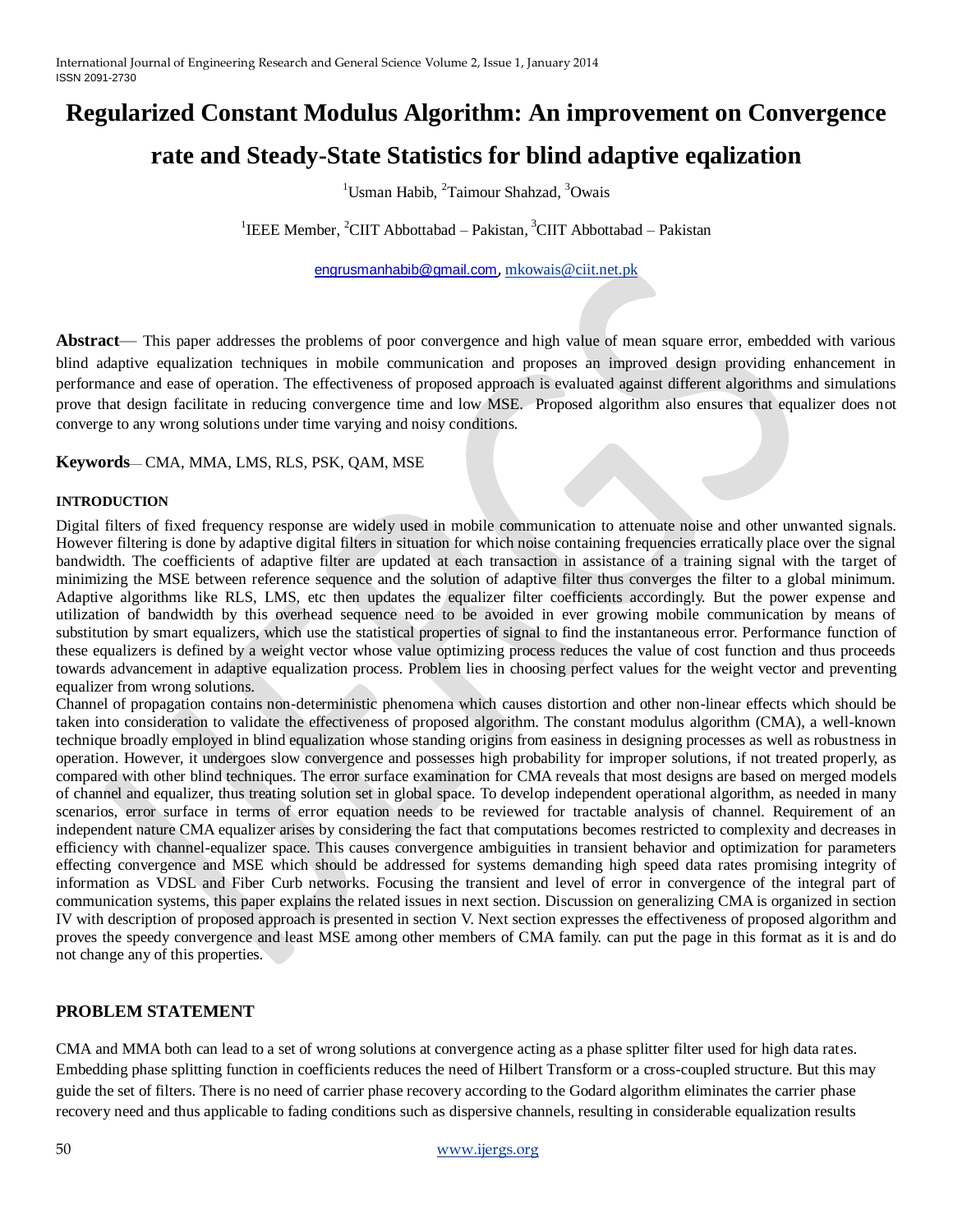# **Regularized Constant Modulus Algorithm: An improvement on Convergence**

## **rate and Steady-State Statistics for blind adaptive eqalization**

 $1$ Usman Habib,  $2$ Taimour Shahzad,  $3$ Owais

<sup>1</sup>IEEE Member, <sup>2</sup>CIIT Abbottabad – Pakistan, <sup>3</sup>CIIT Abbottabad – Pakistan

[engrusmanhabib@gmail.com](mailto:engrusmanhabib@gmail.com), [mkowais@ciit.net.pk](mailto:mkowais@ciit.net.pk)

**Abstract**— This paper addresses the problems of poor convergence and high value of mean square error, embedded with various blind adaptive equalization techniques in mobile communication and proposes an improved design providing enhancement in performance and ease of operation. The effectiveness of proposed approach is evaluated against different algorithms and simulations prove that design facilitate in reducing convergence time and low MSE. Proposed algorithm also ensures that equalizer does not converge to any wrong solutions under time varying and noisy conditions.

**Keywords**— CMA, MMA, LMS, RLS, PSK, QAM, MSE

#### **INTRODUCTION**

Digital filters of fixed frequency response are widely used in mobile communication to attenuate noise and other unwanted signals. However filtering is done by adaptive digital filters in situation for which noise containing frequencies erratically place over the signal bandwidth. The coefficients of adaptive filter are updated at each transaction in assistance of a training signal with the target of minimizing the MSE between reference sequence and the solution of adaptive filter thus converges the filter to a global minimum. Adaptive algorithms like RLS, LMS, etc then updates the equalizer filter coefficients accordingly. But the power expense and utilization of bandwidth by this overhead sequence need to be avoided in ever growing mobile communication by means of substitution by smart equalizers, which use the statistical properties of signal to find the instantaneous error. Performance function of these equalizers is defined by a weight vector whose value optimizing process reduces the value of cost function and thus proceeds towards advancement in adaptive equalization process. Problem lies in choosing perfect values for the weight vector and preventing equalizer from wrong solutions.

Channel of propagation contains non-deterministic phenomena which causes distortion and other non-linear effects which should be taken into consideration to validate the effectiveness of proposed algorithm. The constant modulus algorithm (CMA), a well-known technique broadly employed in blind equalization whose standing origins from easiness in designing processes as well as robustness in operation. However, it undergoes slow convergence and possesses high probability for improper solutions, if not treated properly, as compared with other blind techniques. The error surface examination for CMA reveals that most designs are based on merged models of channel and equalizer, thus treating solution set in global space. To develop independent operational algorithm, as needed in many scenarios, error surface in terms of error equation needs to be reviewed for tractable analysis of channel. Requirement of an independent nature CMA equalizer arises by considering the fact that computations becomes restricted to complexity and decreases in efficiency with channel-equalizer space. This causes convergence ambiguities in transient behavior and optimization for parameters effecting convergence and MSE which should be addressed for systems demanding high speed data rates promising integrity of information as VDSL and Fiber Curb networks. Focusing the transient and level of error in convergence of the integral part of communication systems, this paper explains the related issues in next section. Discussion on generalizing CMA is organized in section IV with description of proposed approach is presented in section V. Next section expresses the effectiveness of proposed algorithm and proves the speedy convergence and least MSE among other members of CMA family. can put the page in this format as it is and do not change any of this properties.

### **PROBLEM STATEMENT**

CMA and MMA both can lead to a set of wrong solutions at convergence acting as a phase splitter filter used for high data rates. Embedding phase splitting function in coefficients reduces the need of Hilbert Transform or a cross-coupled structure. But this may guide the set of filters. There is no need of carrier phase recovery according to the Godard algorithm eliminates the carrier phase recovery need and thus applicable to fading conditions such as dispersive channels, resulting in considerable equalization results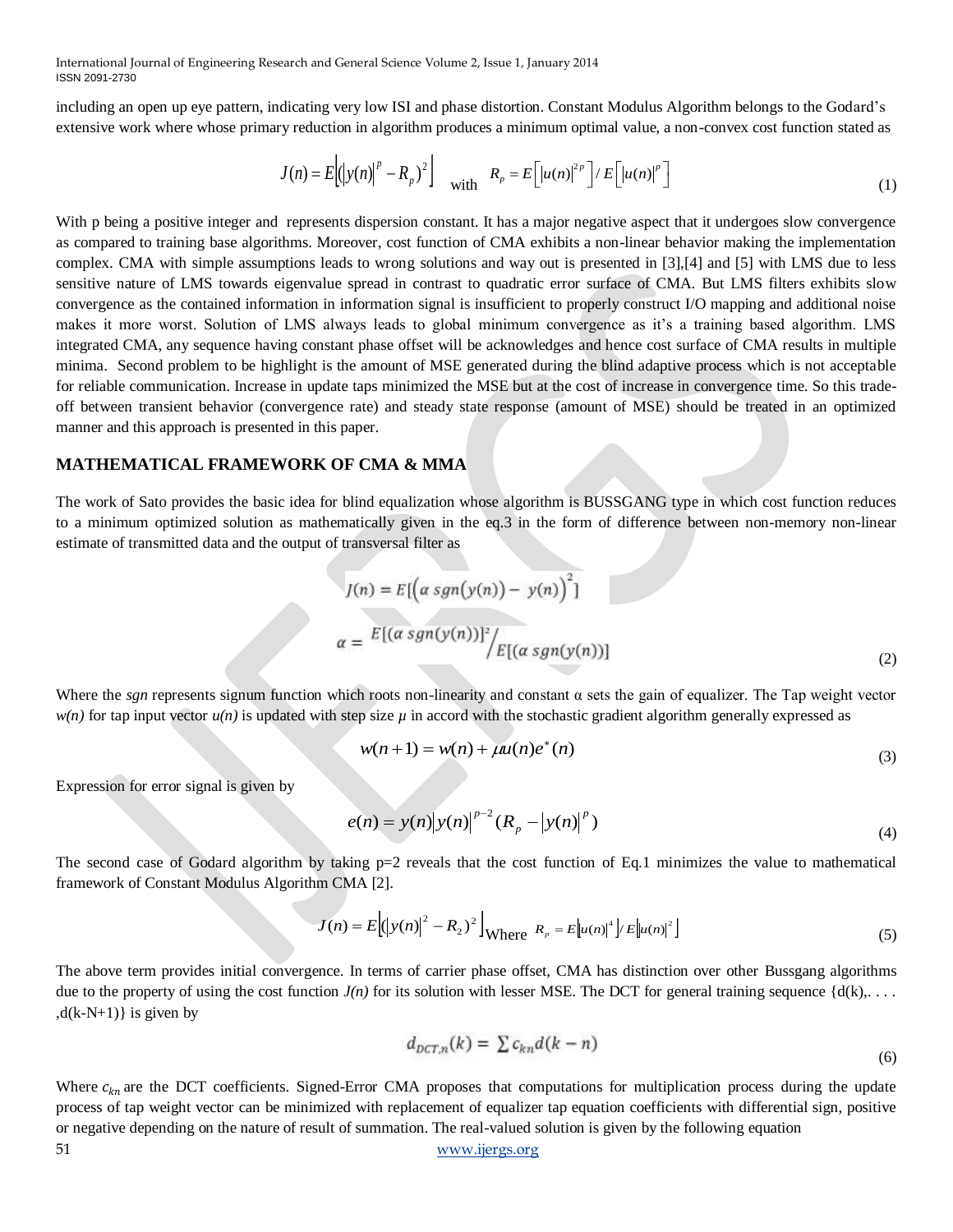including an open up eye pattern, indicating very low ISI and phase distortion. Constant Modulus Algorithm belongs to the Godard's extensive work where whose primary reduction in algorithm produces a minimum optimal value, a non-convex cost function stated as

$$
J(n) = E\left[\left(|y(n)|^p - R_p\right)^2\right] \quad \text{with} \quad R_p = E\left[\left|u(n)\right|^{2p}\right] / E\left[\left|u(n)\right|^p\right] \tag{1}
$$

With p being a positive integer and represents dispersion constant. It has a major negative aspect that it undergoes slow convergence as compared to training base algorithms. Moreover, cost function of CMA exhibits a non-linear behavior making the implementation complex. CMA with simple assumptions leads to wrong solutions and way out is presented in [3],[4] and [5] with LMS due to less sensitive nature of LMS towards eigenvalue spread in contrast to quadratic error surface of CMA. But LMS filters exhibits slow convergence as the contained information in information signal is insufficient to properly construct I/O mapping and additional noise makes it more worst. Solution of LMS always leads to global minimum convergence as it's a training based algorithm. LMS integrated CMA, any sequence having constant phase offset will be acknowledges and hence cost surface of CMA results in multiple minima. Second problem to be highlight is the amount of MSE generated during the blind adaptive process which is not acceptable for reliable communication. Increase in update taps minimized the MSE but at the cost of increase in convergence time. So this tradeoff between transient behavior (convergence rate) and steady state response (amount of MSE) should be treated in an optimized manner and this approach is presented in this paper. Via)  $E[(y(0)-E_k)^T]$  saint  $R_p = E_1 \times (a)^m / P_2$  ( $\times (a)^m$ ) is a major regular to the natural product of results of results of real-valued solution is given by the natural to the natural term in the presentation is given by th

#### **MATHEMATICAL FRAMEWORK OF CMA & MMA**

The work of Sato provides the basic idea for blind equalization whose algorithm is BUSSGANG type in which cost function reduces to a minimum optimized solution as mathematically given in the eq.3 in the form of difference between non-memory non-linear estimate of transmitted data and the output of transversal filter as

$$
J(n) = E[(\alpha sgn(y(n)) - y(n))^{2}]
$$
  

$$
\alpha = E[(\alpha sgn(y(n))]^{2}/E[(\alpha sgn(y(n))]
$$
 (2)

Where the *sgn* represents signum function which roots non-linearity and constant  $\alpha$  sets the gain of equalizer. The Tap weight vector  $w(n)$  for tap input vector  $u(n)$  is updated with step size  $\mu$  in accord with the stochastic gradient algorithm generally expressed as

$$
w(n+1) = w(n) + \mu u(n)e^{*}(n)
$$
\n(3)

Expression for error signal is given by

$$
e(n) = y(n)|y(n)|^{p-2} (R_p - |y(n)|^p)
$$
\n(4)

The second case of Godard algorithm by taking  $p=2$  reveals that the cost function of Eq.1 minimizes the value to mathematical framework of Constant Modulus Algorithm CMA [2].

$$
J(n) = E\left[ (|y(n)|^2 - R_2)^2 \right]_{\text{Where } R_p = E\left[ |u(n)|^4 \right] / E\left[ |u(n)|^2 \right]} \tag{5}
$$

The above term provides initial convergence. In terms of carrier phase offset, CMA has distinction over other Bussgang algorithms due to the property of using the cost function  $J(n)$  for its solution with lesser MSE. The DCT for general training sequence  $\{d(k), \ldots\}$  $,d(k-N+1)$  is given by

$$
d_{DCT,n}(k) = \sum c_{kn} d(k - n) \tag{6}
$$

51 [www.ijergs.org](http://www.ijergs.org/) Where  $c_{kn}$  are the DCT coefficients. Signed-Error CMA proposes that computations for multiplication process during the update process of tap weight vector can be minimized with replacement of equalizer tap equation coefficients with differential sign, positive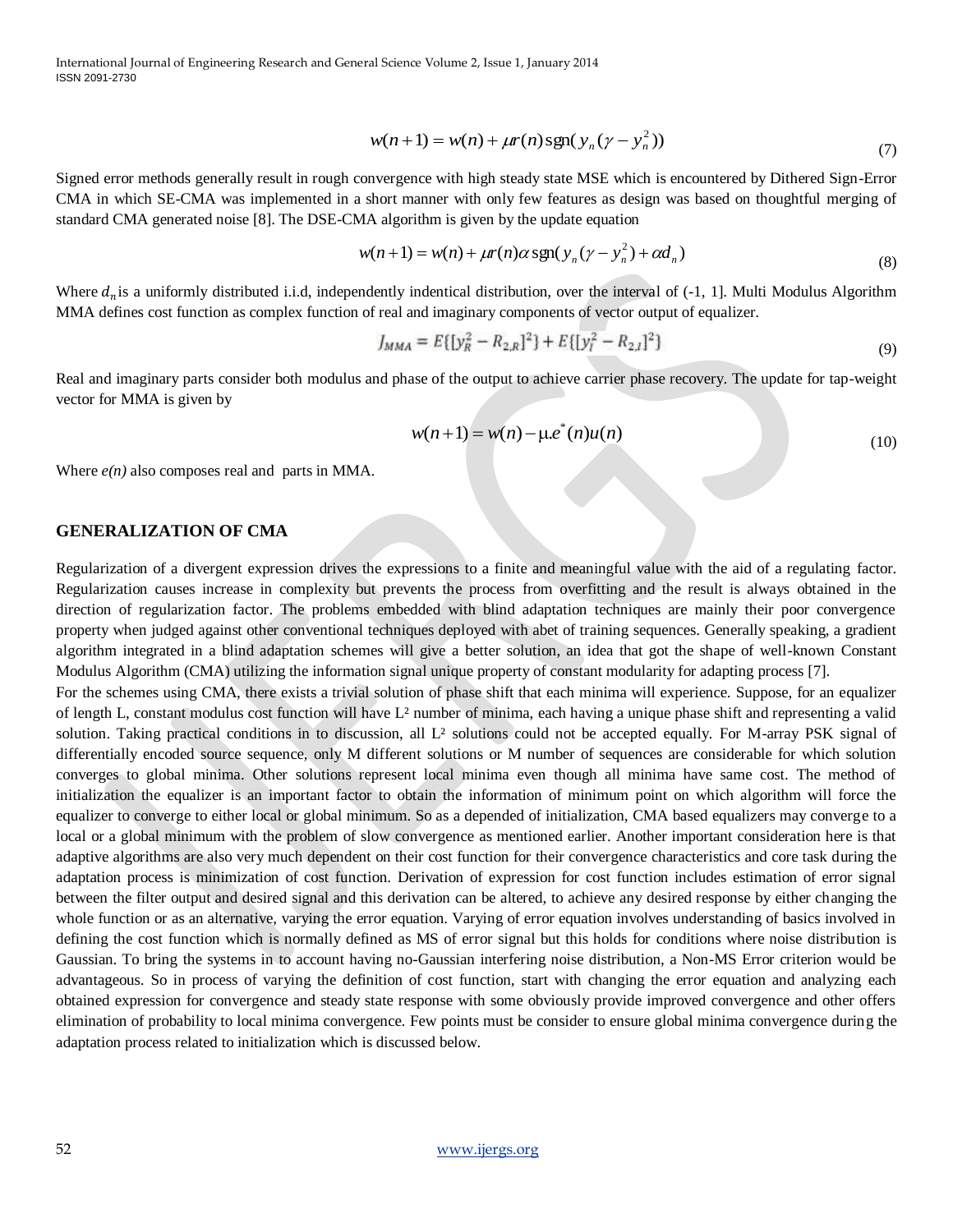$$
w(n+1) = w(n) + \mu r(n) \operatorname{sgn}(y_n(y - y_n^2))
$$
\n(7)

Signed error methods generally result in rough convergence with high steady state MSE which is encountered by Dithered Sign-Error CMA in which SE-CMA was implemented in a short manner with only few features as design was based on thoughtful merging of standard CMA generated noise [8]. The DSE-CMA algorithm is given by the update equation

$$
w(n+1) = w(n) + \mu r(n) \alpha \operatorname{sgn}(y_n(y - y_n^2) + \alpha d_n)
$$
\n(8)

Where  $d_n$  is a uniformly distributed i.i.d, independently indentical distribution, over the interval of  $(-1, 1]$ . Multi Modulus Algorithm MMA defines cost function as complex function of real and imaginary components of vector output of equalizer.

$$
J_{MMA} = E\{[y_R^2 - R_{2,R}]^2\} + E\{[y_I^2 - R_{2,I}]^2\}
$$
\n(9)

Real and imaginary parts consider both modulus and phase of the output to achieve carrier phase recovery. The update for tap-weight vector for MMA is given by

$$
w(n+1) = w(n) - \mu e^{*}(n)u(n)
$$
\n(10)

Where *e(n)* also composes real and parts in MMA.

#### **GENERALIZATION OF CMA**

Regularization of a divergent expression drives the expressions to a finite and meaningful value with the aid of a regulating factor. Regularization causes increase in complexity but prevents the process from overfitting and the result is always obtained in the direction of regularization factor. The problems embedded with blind adaptation techniques are mainly their poor convergence property when judged against other conventional techniques deployed with abet of training sequences. Generally speaking, a gradient algorithm integrated in a blind adaptation schemes will give a better solution, an idea that got the shape of well-known Constant Modulus Algorithm (CMA) utilizing the information signal unique property of constant modularity for adapting process [7].

For the schemes using CMA, there exists a trivial solution of phase shift that each minima will experience. Suppose, for an equalizer of length L, constant modulus cost function will have  $L^2$  number of minima, each having a unique phase shift and representing a valid solution. Taking practical conditions in to discussion, all L² solutions could not be accepted equally. For M-array PSK signal of differentially encoded source sequence, only M different solutions or M number of sequences are considerable for which solution converges to global minima. Other solutions represent local minima even though all minima have same cost. The method of initialization the equalizer is an important factor to obtain the information of minimum point on which algorithm will force the equalizer to converge to either local or global minimum. So as a depended of initialization, CMA based equalizers may converge to a local or a global minimum with the problem of slow convergence as mentioned earlier. Another important consideration here is that adaptive algorithms are also very much dependent on their cost function for their convergence characteristics and core task during the adaptation process is minimization of cost function. Derivation of expression for cost function includes estimation of error signal between the filter output and desired signal and this derivation can be altered, to achieve any desired response by either changing the whole function or as an alternative, varying the error equation. Varying of error equation involves understanding of basics involved in defining the cost function which is normally defined as MS of error signal but this holds for conditions where noise distribution is Gaussian. To bring the systems in to account having no-Gaussian interfering noise distribution, a Non-MS Error criterion would be advantageous. So in process of varying the definition of cost function, start with changing the error equation and analyzing each obtained expression for convergence and steady state response with some obviously provide improved convergence and other offers elimination of probability to local minima convergence. Few points must be consider to ensure global minima convergence during the adaptation process related to initialization which is discussed below.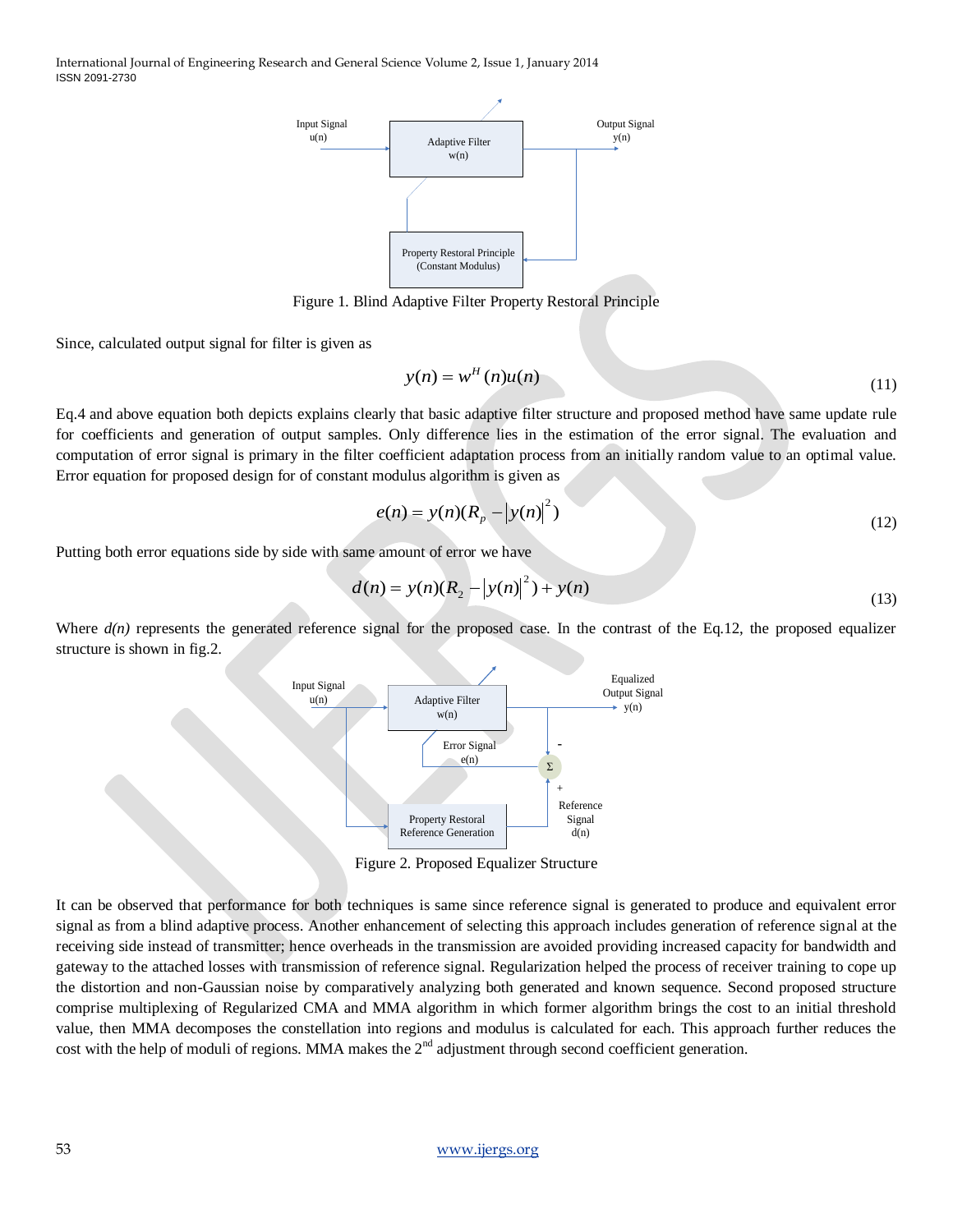

Figure 1. Blind Adaptive Filter Property Restoral Principle

Since, calculated output signal for filter is given as

$$
y(n) = wH(n)u(n)
$$
\n(11)

Eq.4 and above equation both depicts explains clearly that basic adaptive filter structure and proposed method have same update rule for coefficients and generation of output samples. Only difference lies in the estimation of the error signal. The evaluation and computation of error signal is primary in the filter coefficient adaptation process from an initially random value to an optimal value. Error equation for proposed design for of constant modulus algorithm is given as

$$
e(n) = y(n)(R_p - |y(n)|^2)
$$
\n(12)

Putting both error equations side by side with same amount of error we have

$$
d(n) = y(n)(R_2 - |y(n)|^2) + y(n)
$$
\n(13)

Where  $d(n)$  represents the generated reference signal for the proposed case. In the contrast of the Eq.12, the proposed equalizer structure is shown in fig.2.



Figure 2. Proposed Equalizer Structure

It can be observed that performance for both techniques is same since reference signal is generated to produce and equivalent error signal as from a blind adaptive process. Another enhancement of selecting this approach includes generation of reference signal at the receiving side instead of transmitter; hence overheads in the transmission are avoided providing increased capacity for bandwidth and gateway to the attached losses with transmission of reference signal. Regularization helped the process of receiver training to cope up the distortion and non-Gaussian noise by comparatively analyzing both generated and known sequence. Second proposed structure comprise multiplexing of Regularized CMA and MMA algorithm in which former algorithm brings the cost to an initial threshold value, then MMA decomposes the constellation into regions and modulus is calculated for each. This approach further reduces the cost with the help of moduli of regions. MMA makes the  $2<sup>nd</sup>$  adjustment through second coefficient generation.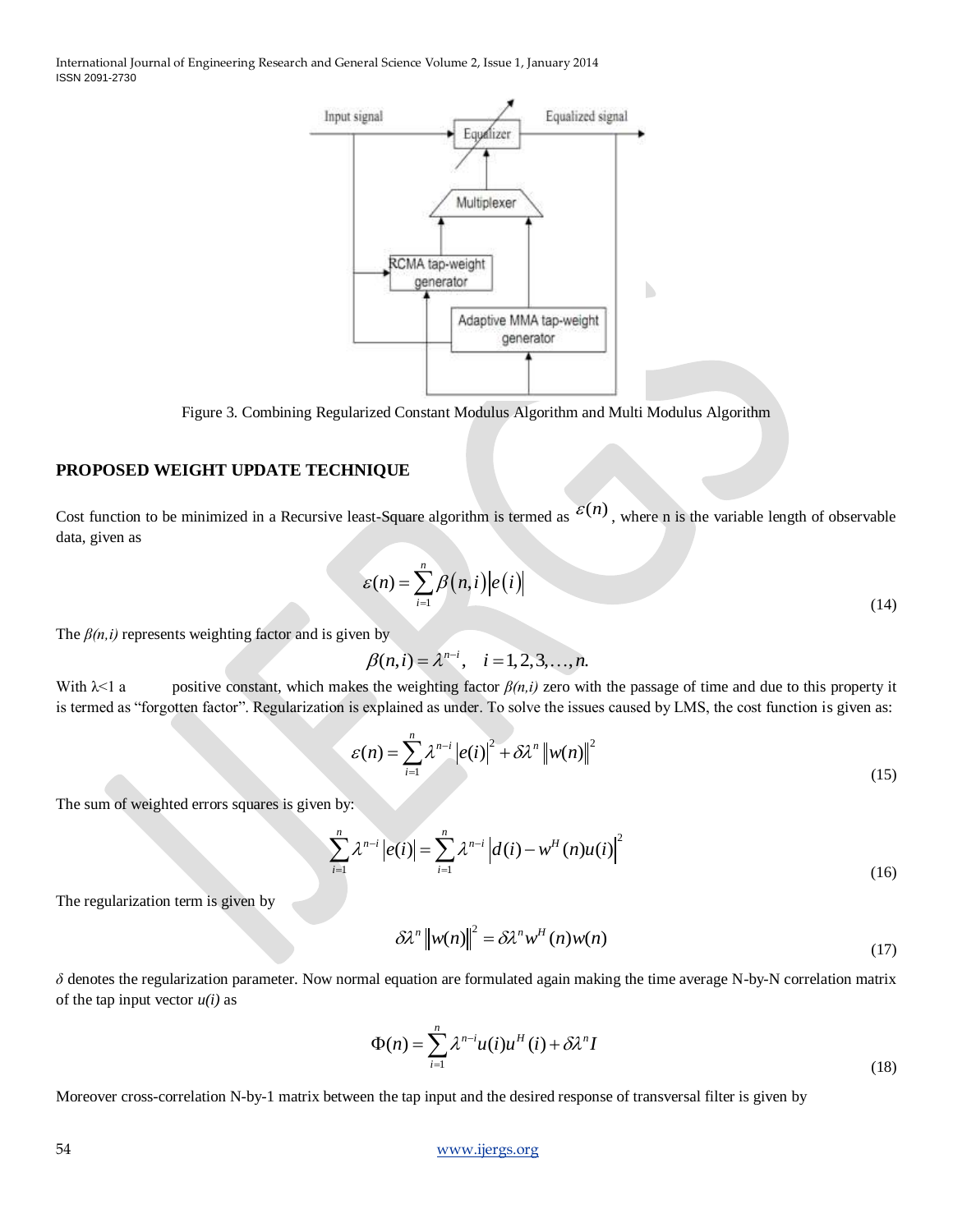

Figure 3. Combining Regularized Constant Modulus Algorithm and Multi Modulus Algorithm

#### **PROPOSED WEIGHT UPDATE TECHNIQUE**

Cost function to be minimized in a Recursive least-Square algorithm is termed as  $\mathcal{E}(n)$ , where n is the variable length of observable data, given as

$$
\mathcal{E}(n) = \sum_{i=1}^{n} \beta(n, i) |e(i)| \tag{14}
$$

The  $\beta(n,i)$  represents weighting factor and is given by

$$
\beta(n,i) = \lambda^{n-i}, \quad i = 1, 2, 3, \dots, n.
$$

With  $\lambda$ <1 a positive constant, which makes the weighting factor  $\beta(n,i)$  zero with the passage of time and due to this property it is termed as "forgotten factor". Regularization is explained as under. To solve the issues caused by LMS, the cost function is given as:

$$
\mathcal{E}(n) = \sum_{i=1}^{n} \lambda^{n-i} \left| e(i) \right|^2 + \delta \lambda^n \left\| w(n) \right\|^2 \tag{15}
$$

The sum of weighted errors squares is given by:

given by:  
\n
$$
\sum_{i=1}^{n} \lambda^{n-i} |e(i)| = \sum_{i=1}^{n} \lambda^{n-i} |d(i) - w^{H}(n)u(i)|^{2}
$$
\n(16)

The regularization term is given by

$$
\delta \lambda^{n} \left\| w(n) \right\|^{2} = \delta \lambda^{n} w^{H}(n) w(n)
$$
\n(17)

*δ* denotes the regularization parameter. Now normal equation are formulated again making the time average N-by-N correlation matrix of the tap input vector  $u(i)$  as

$$
\Phi(n) = \sum_{i=1}^{n} \lambda^{n-i} u(i) u^{H}(i) + \delta \lambda^{n} I
$$
\n(18)

Moreover cross-correlation N-by-1 matrix between the tap input and the desired response of transversal filter is given by

#### 54 [www.ijergs.org](http://www.ijergs.org/)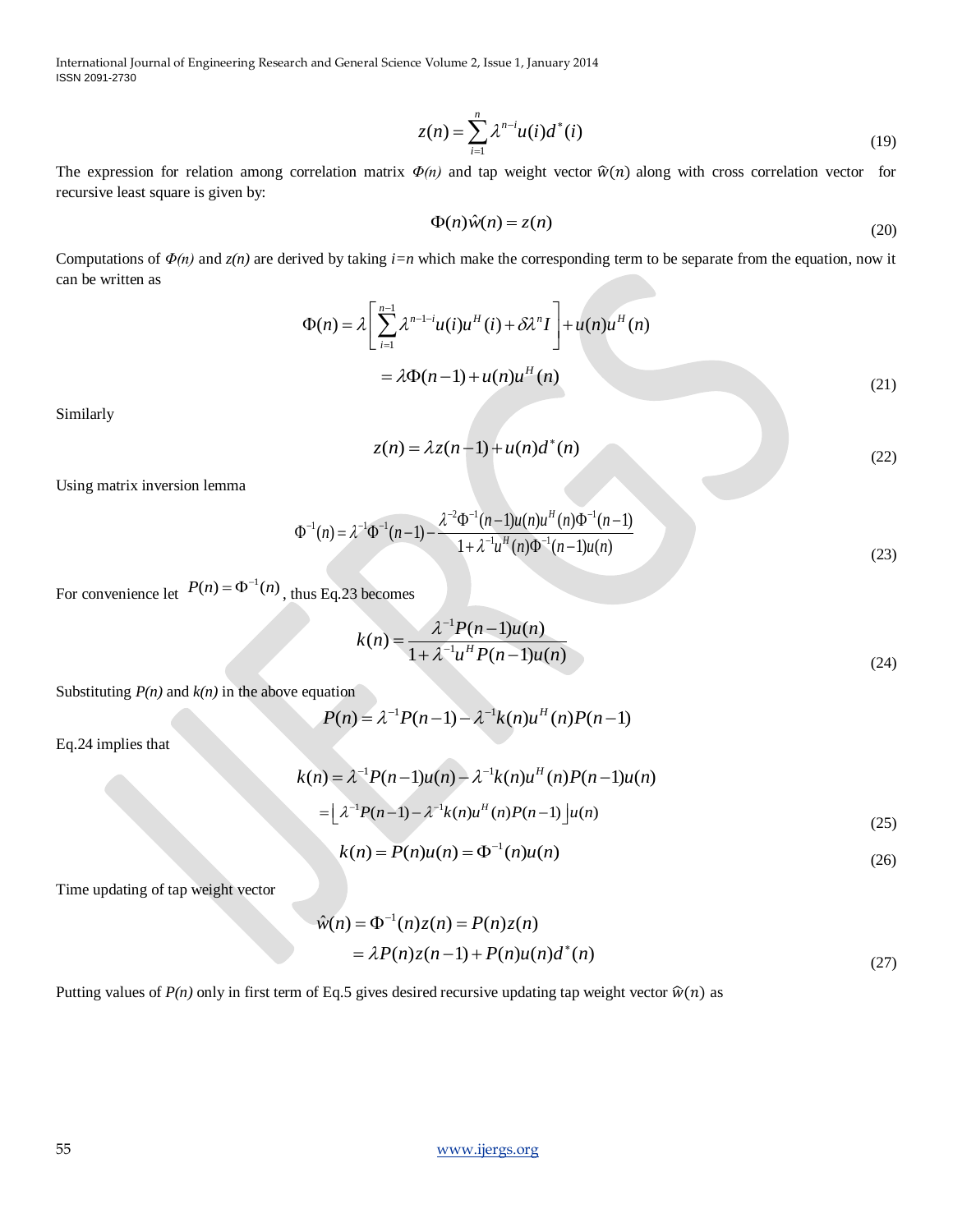$$
z(n) = \sum_{i=1}^{n} \lambda^{n-i} u(i) d^*(i)
$$
 (19)

The expression for relation among correlation matrix  $\Phi(n)$  and tap weight vector  $\hat{w}(n)$  along with cross correlation vector for recursive least square is given by:

$$
\Phi(n)\hat{w}(n) = z(n) \tag{20}
$$

Computations of *Φ(n)* and *z(n)* are derived by taking *i=n* which make the corresponding term to be separate from the equation, now it can be written as

$$
\Phi(n) = \lambda \left[ \sum_{i=1}^{n-1} \lambda^{n-1-i} u(i) u^{H}(i) + \delta \lambda^{n} I \right] + u(n) u^{H}(n)
$$
  
=  $\lambda \Phi(n-1) + u(n) u^{H}(n)$  (21)

Similarly

$$
z(n) = \lambda z(n-1) + u(n)d^*(n)
$$
\n(22)

Using matrix inversion lemma

$$
\Phi^{-1}(n) = \lambda^{-1} \Phi^{-1}(n-1) - \frac{\lambda^{-2} \Phi^{-1}(n-1)u(n)u^{H}(n) \Phi^{-1}(n-1)}{1 + \lambda^{-1} u^{H}(n) \Phi^{-1}(n-1)u(n)}
$$
(23)

For convenience let  $P(n) = \Phi^{-1}(n)$ , thus Eq.23 becomes

$$
k(n) = \frac{\lambda^{-1} P(n-1)u(n)}{1 + \lambda^{-1} u^H P(n-1)u(n)}
$$
\n(24)

Substituting  $P(n)$  and  $k(n)$  in the above equation

$$
P(n) = \lambda^{-1} P(n-1) - \lambda^{-1} k(n) u^H(n) P(n-1)
$$

Eq.24 implies that

$$
k(n) = \lambda^{-1} P(n-1)u(n) - \lambda^{-1} k(n)u^{H}(n)P(n-1)u(n)
$$
  
= 
$$
\left[ \lambda^{-1} P(n-1) - \lambda^{-1} k(n)u^{H}(n)P(n-1) \right]u(n)
$$
 (25)

$$
k(n) = P(n)u(n) = \Phi^{-1}(n)u(n)
$$
\n(26)

Time updating of tap weight vector

$$
\hat{w}(n) = \Phi^{-1}(n)z(n) = P(n)z(n)
$$
  
=  $\lambda P(n)z(n-1) + P(n)u(n)d^*(n)$  (27)

Putting values of  $P(n)$  only in first term of Eq.5 gives desired recursive updating tap weight vector  $\hat{w}(n)$  as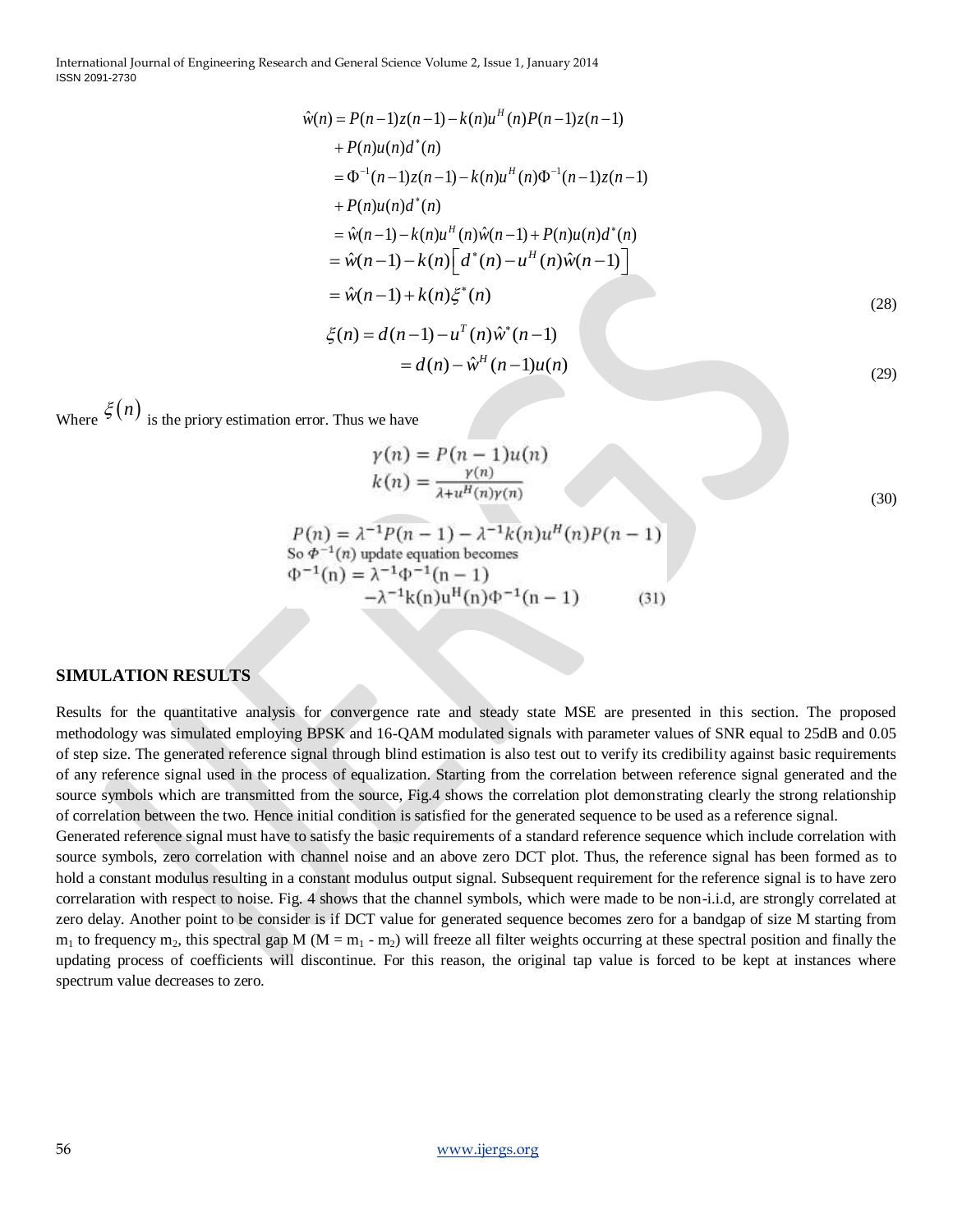$$
\hat{w}(n) = P(n-1)z(n-1) - k(n)u^{H}(n)P(n-1)z(n-1) \n+ P(n)u(n)d^{*}(n) \n= \Phi^{-1}(n-1)z(n-1) - k(n)u^{H}(n)\Phi^{-1}(n-1)z(n-1) \n+ P(n)u(n)d^{*}(n) \n= \hat{w}(n-1) - k(n)u^{H}(n)\hat{w}(n-1) + P(n)u(n)d^{*}(n) \n= \hat{w}(n-1) - k(n)\left[d^{*}(n) - u^{H}(n)\hat{w}(n-1)\right] \n= \hat{w}(n-1) + k(n)\xi^{*}(n) \n\xi(n) = d(n-1) - u^{T}(n)\hat{w}^{*}(n-1) \n= d(n) - \hat{w}^{H}(n-1)u(n)
$$
\n(29)

Where  $\xi(n)$  is the priory estimation error. Thus we have

$$
\gamma(n) = P(n-1)u(n)
$$
  
\n
$$
k(n) = \frac{\gamma(n)}{\lambda + u^H(n)\gamma(n)}
$$
\n(30)

$$
P(n) = \lambda^{-1} P(n-1) - \lambda^{-1} k(n) u^{H}(n) P(n-1)
$$
  
So  $\Phi^{-1}(n)$  update equation becomes  

$$
\Phi^{-1}(n) = \lambda^{-1} \Phi^{-1}(n-1)
$$

$$
-\lambda^{-1} k(n) u^{H}(n) \Phi^{-1}(n-1)
$$
(31)

#### **SIMULATION RESULTS**

Results for the quantitative analysis for convergence rate and steady state MSE are presented in this section. The proposed methodology was simulated employing BPSK and 16-QAM modulated signals with parameter values of SNR equal to 25dB and 0.05 of step size. The generated reference signal through blind estimation is also test out to verify its credibility against basic requirements of any reference signal used in the process of equalization. Starting from the correlation between reference signal generated and the source symbols which are transmitted from the source, Fig.4 shows the correlation plot demonstrating clearly the strong relationship of correlation between the two. Hence initial condition is satisfied for the generated sequence to be used as a reference signal.

Generated reference signal must have to satisfy the basic requirements of a standard reference sequence which include correlation with source symbols, zero correlation with channel noise and an above zero DCT plot. Thus, the reference signal has been formed as to hold a constant modulus resulting in a constant modulus output signal. Subsequent requirement for the reference signal is to have zero correlaration with respect to noise. Fig. 4 shows that the channel symbols, which were made to be non-i.i.d, are strongly correlated at zero delay. Another point to be consider is if DCT value for generated sequence becomes zero for a bandgap of size M starting from  $m_1$  to frequency m<sub>2</sub>, this spectral gap M (M = m<sub>1</sub> - m<sub>2</sub>) will freeze all filter weights occurring at these spectral position and finally the updating process of coefficients will discontinue. For this reason, the original tap value is forced to be kept at instances where spectrum value decreases to zero.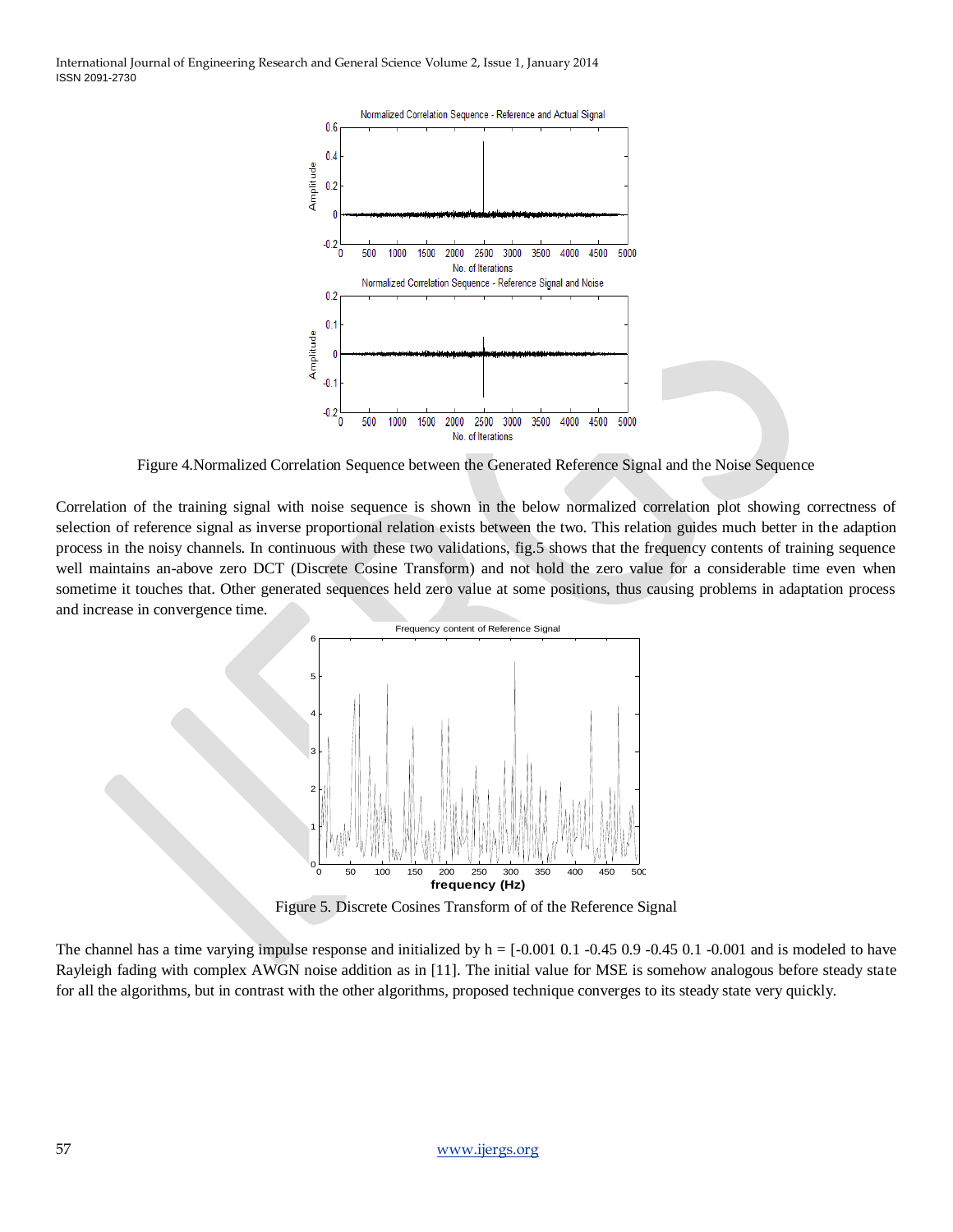

Figure 4.Normalized Correlation Sequence between the Generated Reference Signal and the Noise Sequence

Correlation of the training signal with noise sequence is shown in the below normalized correlation plot showing correctness of selection of reference signal as inverse proportional relation exists between the two. This relation guides much better in the adaption process in the noisy channels. In continuous with these two validations, fig.5 shows that the frequency contents of training sequence well maintains an-above zero DCT (Discrete Cosine Transform) and not hold the zero value for a considerable time even when sometime it touches that. Other generated sequences held zero value at some positions, thus causing problems in adaptation process and increase in convergence time.



Figure 5. Discrete Cosines Transform of of the Reference Signal

The channel has a time varying impulse response and initialized by  $h = [-0.001 \ 0.1 \ -0.45 \ 0.9 \ -0.45 \ 0.1 \ -0.001$  and is modeled to have Rayleigh fading with complex AWGN noise addition as in [11]. The initial value for MSE is somehow analogous before steady state for all the algorithms, but in contrast with the other algorithms, proposed technique converges to its steady state very quickly.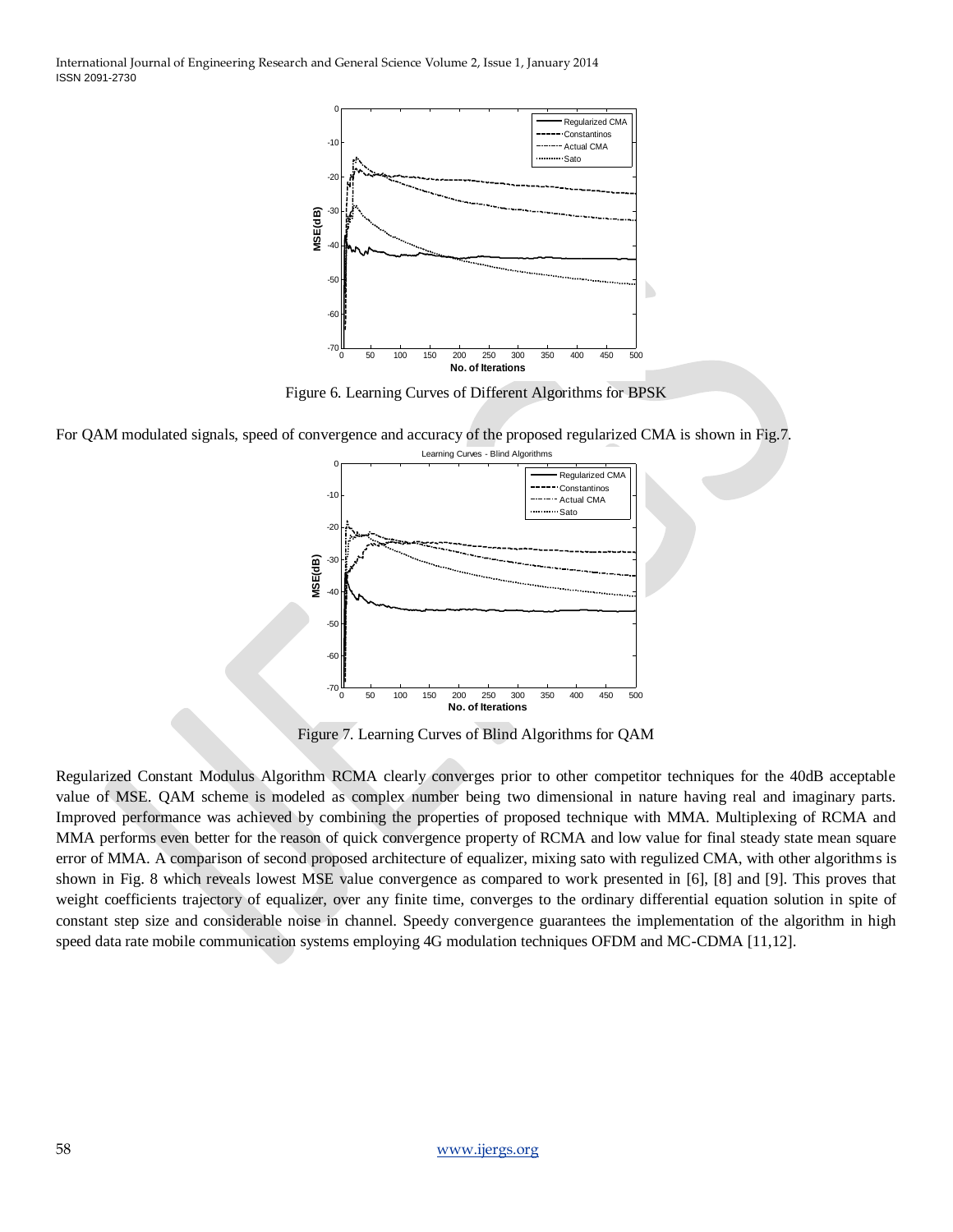

Figure 6. Learning Curves of Different Algorithms for BPSK

For QAM modulated signals, speed of convergence and accuracy of the proposed regularized CMA is shown in Fig.7.



Figure 7. Learning Curves of Blind Algorithms for QAM

Regularized Constant Modulus Algorithm RCMA clearly converges prior to other competitor techniques for the 40dB acceptable value of MSE. QAM scheme is modeled as complex number being two dimensional in nature having real and imaginary parts. Improved performance was achieved by combining the properties of proposed technique with MMA. Multiplexing of RCMA and MMA performs even better for the reason of quick convergence property of RCMA and low value for final steady state mean square error of MMA. A comparison of second proposed architecture of equalizer, mixing sato with regulized CMA, with other algorithms is shown in Fig. 8 which reveals lowest MSE value convergence as compared to work presented in [6], [8] and [9]. This proves that weight coefficients trajectory of equalizer, over any finite time, converges to the ordinary differential equation solution in spite of constant step size and considerable noise in channel. Speedy convergence guarantees the implementation of the algorithm in high speed data rate mobile communication systems employing 4G modulation techniques OFDM and MC-CDMA [11,12].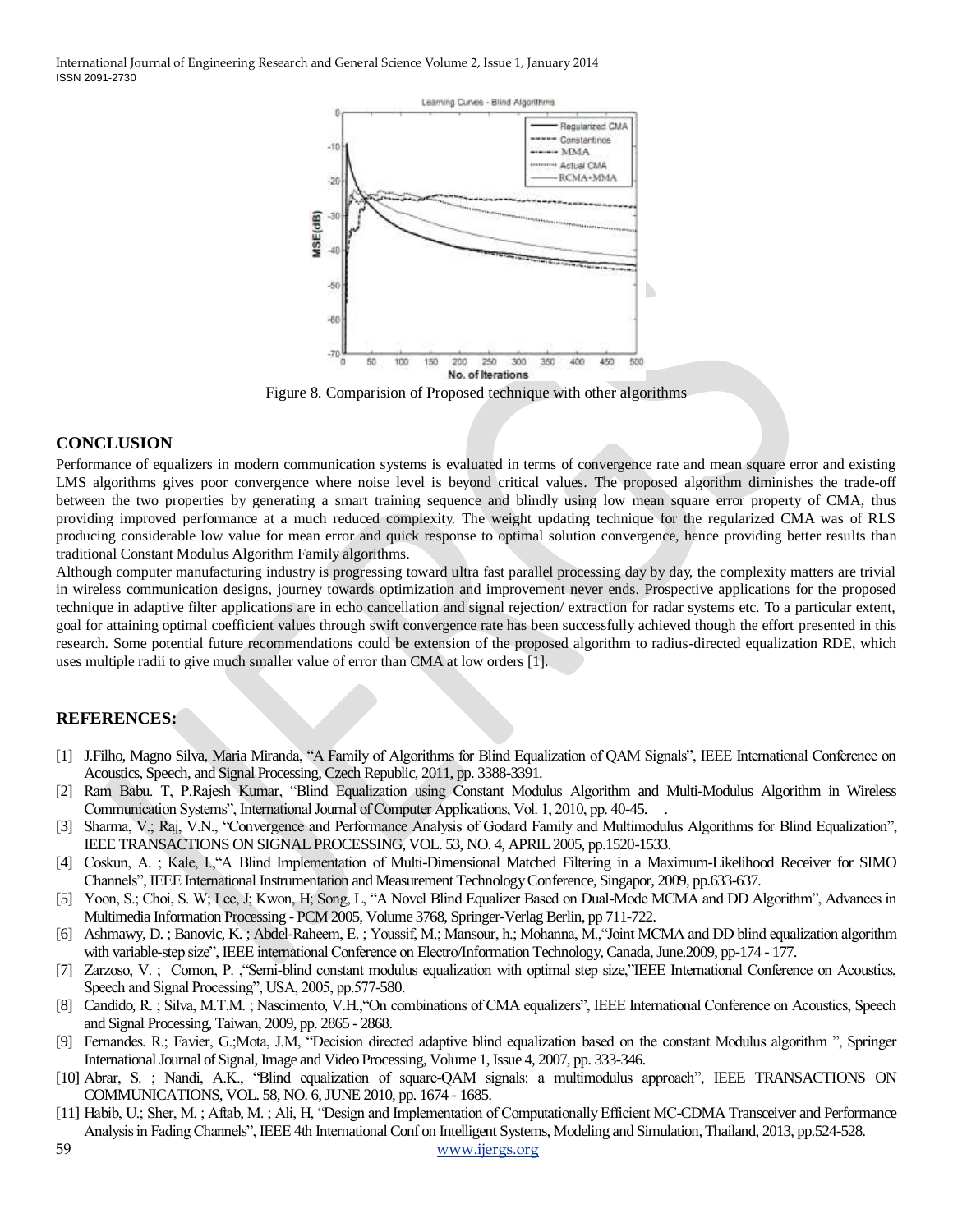

Figure 8. Comparision of Proposed technique with other algorithms

#### **CONCLUSION**

Performance of equalizers in modern communication systems is evaluated in terms of convergence rate and mean square error and existing LMS algorithms gives poor convergence where noise level is beyond critical values. The proposed algorithm diminishes the trade-off between the two properties by generating a smart training sequence and blindly using low mean square error property of CMA, thus providing improved performance at a much reduced complexity. The weight updating technique for the regularized CMA was of RLS producing considerable low value for mean error and quick response to optimal solution convergence, hence providing better results than traditional Constant Modulus Algorithm Family algorithms.

Although computer manufacturing industry is progressing toward ultra fast parallel processing day by day, the complexity matters are trivial in wireless communication designs, journey towards optimization and improvement never ends. Prospective applications for the proposed technique in adaptive filter applications are in echo cancellation and signal rejection/ extraction for radar systems etc. To a particular extent, goal for attaining optimal coefficient values through swift convergence rate has been successfully achieved though the effort presented in this research. Some potential future recommendations could be extension of the proposed algorithm to radius-directed equalization RDE, which uses multiple radii to give much smaller value of error than CMA at low orders [1].

#### **REFERENCES:**

- [1] J.Filho, Magno Silva, Maria Miranda, "A Family of Algorithms for Blind Equalization of QAM Signals", IEEE International Conference on Acoustics, Speech, and Signal Processing, Czech Republic, 2011, pp. 3388-3391.
- [2] Ram Babu. T, P.Rajesh Kumar, "Blind Equalization using Constant Modulus Algorithm and Multi-Modulus Algorithm in Wireless Communication Systems", International Journal of Computer Applications, Vol. 1, 2010, pp. 40-45.
- [3] Sharma, V.; Raj, V.N., "Convergence and Performance Analysis of Godard Family and Multimodulus Algorithms for Blind Equalization", IEEE TRANSACTIONS ON SIGNAL PROCESSING, VOL. 53, NO. 4, APRIL 2005, pp.1520-1533.
- [4] Coskun, A. ; Kale, I., "A Blind Implementation of Multi-Dimensional Matched Filtering in a Maximum-Likelihood Receiver for SIMO Channels", IEEE International Instrumentation and Measurement Technology Conference, Singapor, 2009, pp.633-637.
- [5] Yoon, S.; Choi, S. W; Lee, J; Kwon, H; Song, L, "A Novel Blind Equalizer Based on Dual-Mode MCMA and DD Algorithm", Advances in Multimedia Information Processing - PCM 2005, Volume 3768, Springer-Verlag Berlin, pp 711-722.
- [6] Ashmawy, D. ; Banovic, K. ; Abdel-Raheem, E. ; Youssif, M.; Mansour, h.; Mohanna, M., "Joint MCMA and DD blind equalization algorithm with variable-step size", IEEE international Conference on Electro/Information Technology, Canada, June.2009, pp-174 - 177.
- [7] Zarzoso, V.; Comon, P. , "Semi-blind constant modulus equalization with optimal step size,"IEEE International Conference on Acoustics, Speech and Signal Processing", USA, 2005, pp.577-580.
- [8] Candido, R.; Silva, M.T.M.; Nascimento, V.H., "On combinations of CMA equalizers", IEEE International Conference on Acoustics, Speech and Signal Processing, Taiwan, 2009, pp. 2865 - 2868.
- [9] Fernandes. R.; Favier, G.;Mota, J.M, "Decision directed adaptive blind equalization based on the constant Modulus algorithm ", Springer International Journal of Signal, Image and Video Processing, Volume 1, Issue 4, 2007, pp. 333-346.
- [10] Abrar, S. ; Nandi, A.K., "Blind equalization of square-QAM signals: a multimodulus approach", IEEE TRANSACTIONS ON COMMUNICATIONS, VOL. 58, NO. 6, JUNE 2010, pp. 1674 - 1685.
- [11] Habib, U.; Sher, M.; Aftab, M.; Ali, H, "Design and Implementation of Computationally Efficient MC-CDMA Transceiver and Performance Analysis in Fading Channels", IEEE 4th International Conf on Intelligent Systems, Modeling and Simulation, Thailand, 2013, pp.524-528.